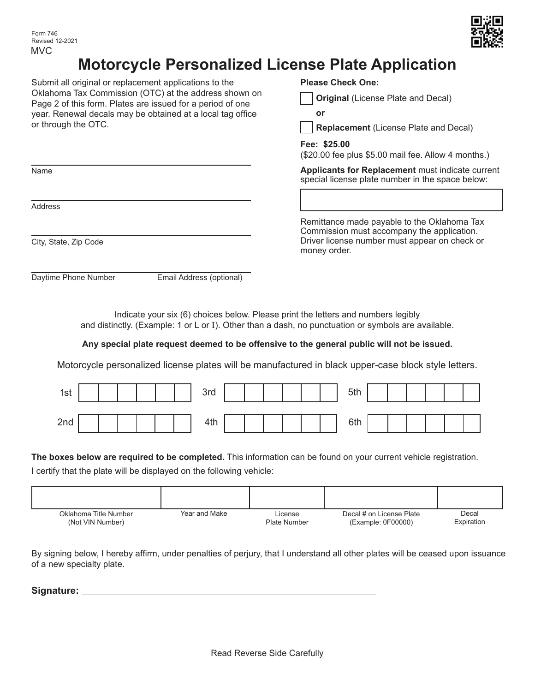

## **Motorcycle Personalized License Plate Application**

Submit all original or replacement applications to the Oklahoma Tax Commission (OTC) at the address shown on Page 2 of this form. Plates are issued for a period of one year. Renewal decals may be obtained at a local tag office or through the OTC.

| <b>Please Check One:</b> |                                    |
|--------------------------|------------------------------------|
|                          | Original (License Plate and Decal) |



money order.

**Fee: \$25.00**

(\$20.00 fee plus \$5.00 mail fee. Allow 4 months.)

Remittance made payable to the Oklahoma Tax Commission must accompany the application. Driver license number must appear on check or

**Applicants for Replacement** must indicate current special license plate number in the space below:

Address

Name

City, State, Zip Code

Daytime Phone Number Email Address (optional)

Indicate your six (6) choices below. Please print the letters and numbers legibly and distinctly. (Example: 1 or L or I). Other than a dash, no punctuation or symbols are available.

## **Any special plate request deemed to be offensive to the general public will not be issued.**

Motorcycle personalized license plates will be manufactured in black upper-case block style letters.

| 1st |  |  |  | 3rd |  |  |  | 5th |  |  |  |
|-----|--|--|--|-----|--|--|--|-----|--|--|--|
| 2nd |  |  |  | 4th |  |  |  | 6th |  |  |  |

## **The boxes below are required to be completed.** This information can be found on your current vehicle registration.

I certify that the plate will be displayed on the following vehicle:

| Oklahoma Title Number | Year and Make | License             | Decal # on License Plate | Decal      |
|-----------------------|---------------|---------------------|--------------------------|------------|
| (Not VIN Number)      |               | <b>Plate Number</b> | (Example: 0F00000)       | Expiration |

By signing below, I hereby affirm, under penalties of perjury, that I understand all other plates will be ceased upon issuance of a new specialty plate.

**Signature:**